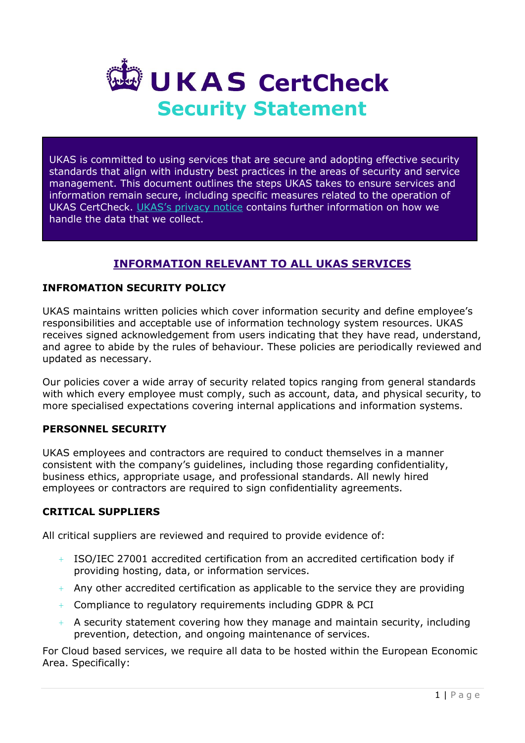

UKAS is committed to using services that are secure and adopting effective security standards that align with industry best practices in the areas of security and service management. This document outlines the steps UKAS takes to ensure services and information remain secure, including specific measures related to the operation of UKAS CertCheck. [UKAS's privacy notice](https://www.ukas.com/privacy-statement/) contains further information on how we handle the data that we collect.

# **INFORMATION RELEVANT TO ALL UKAS SERVICES**

### **INFROMATION SECURITY POLICY**

UKAS maintains written policies which cover information security and define employee's responsibilities and acceptable use of information technology system resources. UKAS receives signed acknowledgement from users indicating that they have read, understand, and agree to abide by the rules of behaviour. These policies are periodically reviewed and updated as necessary.

Our policies cover a wide array of security related topics ranging from general standards with which every employee must comply, such as account, data, and physical security, to more specialised expectations covering internal applications and information systems.

#### **PERSONNEL SECURITY**

UKAS employees and contractors are required to conduct themselves in a manner consistent with the company's guidelines, including those regarding confidentiality, business ethics, appropriate usage, and professional standards. All newly hired employees or contractors are required to sign confidentiality agreements.

### **CRITICAL SUPPLIERS**

All critical suppliers are reviewed and required to provide evidence of:

- + ISO/IEC 27001 accredited certification from an accredited certification body if providing hosting, data, or information services.
- $+$  Any other accredited certification as applicable to the service they are providing
- + Compliance to regulatory requirements including GDPR & PCI
- + A security statement covering how they manage and maintain security, including prevention, detection, and ongoing maintenance of services.

For Cloud based services, we require all data to be hosted within the European Economic Area. Specifically: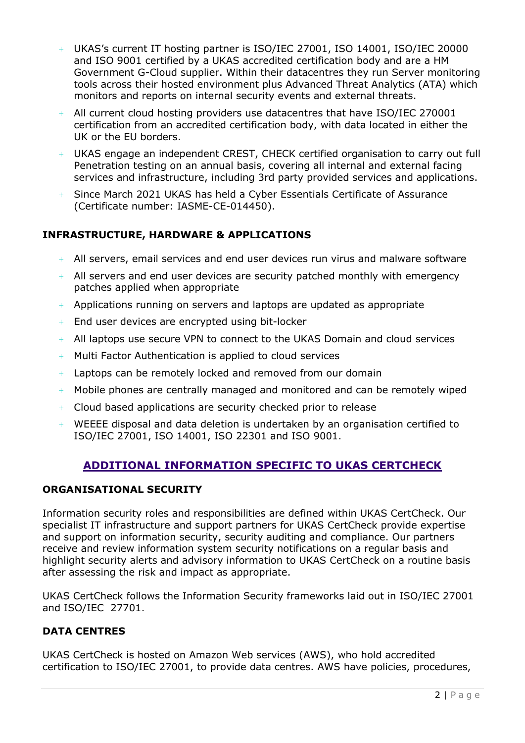- $+$  UKAS's current IT hosting partner is ISO/IEC 27001, ISO 14001, ISO/IEC 20000 and ISO 9001 certified by a UKAS accredited certification body and are a HM Government G-Cloud supplier. Within their datacentres they run Server monitoring tools across their hosted environment plus Advanced Threat Analytics (ATA) which monitors and reports on internal security events and external threats.
- $+$  All current cloud hosting providers use datacentres that have ISO/IEC 270001 certification from an accredited certification body, with data located in either the UK or the EU borders.
- + UKAS engage an independent CREST, CHECK certified organisation to carry out full Penetration testing on an annual basis, covering all internal and external facing services and infrastructure, including 3rd party provided services and applications.
- + Since March 2021 UKAS has held a Cyber Essentials Certificate of Assurance (Certificate number: IASME-CE-014450).

# **INFRASTRUCTURE, HARDWARE & APPLICATIONS**

- + All servers, email services and end user devices run virus and malware software
- + All servers and end user devices are security patched monthly with emergency patches applied when appropriate
- $+$  Applications running on servers and laptops are updated as appropriate
- + End user devices are encrypted using bit-locker
- $+$  All laptops use secure VPN to connect to the UKAS Domain and cloud services
- $+$  Multi Factor Authentication is applied to cloud services
- + Laptops can be remotely locked and removed from our domain
- + Mobile phones are centrally managed and monitored and can be remotely wiped
- $+$  Cloud based applications are security checked prior to release
- + WEEEE disposal and data deletion is undertaken by an organisation certified to ISO/IEC 27001, ISO 14001, ISO 22301 and ISO 9001.

# **ADDITIONAL INFORMATION SPECIFIC TO UKAS CERTCHECK**

### **ORGANISATIONAL SECURITY**

Information security roles and responsibilities are defined within UKAS CertCheck. Our specialist IT infrastructure and support partners for UKAS CertCheck provide expertise and support on information security, security auditing and compliance. Our partners receive and review information system security notifications on a regular basis and highlight security alerts and advisory information to UKAS CertCheck on a routine basis after assessing the risk and impact as appropriate.

UKAS CertCheck follows the Information Security frameworks laid out in ISO/IEC 27001 and ISO/IEC 27701.

# **DATA CENTRES**

UKAS CertCheck is hosted on Amazon Web services (AWS), who hold accredited certification to ISO/IEC 27001, to provide data centres. AWS have policies, procedures,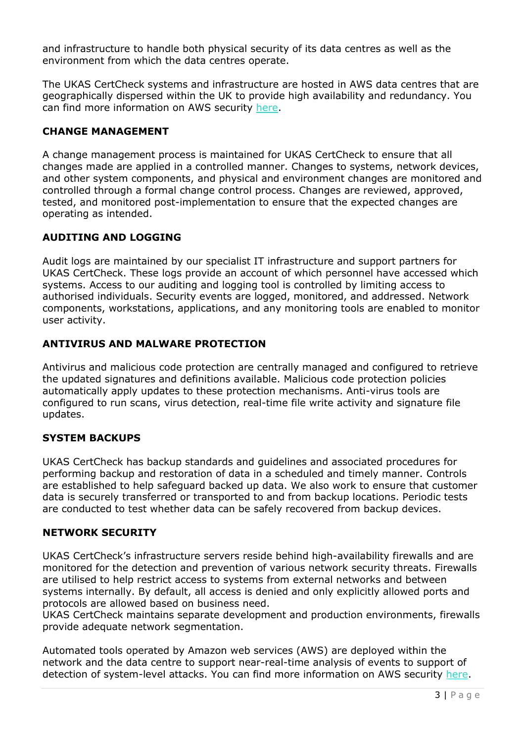and infrastructure to handle both physical security of its data centres as well as the environment from which the data centres operate.

The UKAS CertCheck systems and infrastructure are hosted in AWS data centres that are geographically dispersed within the UK to provide high availability and redundancy. You can find more information on AWS security [here.](https://aws.amazon.com/security/)

### **CHANGE MANAGEMENT**

A change management process is maintained for UKAS CertCheck to ensure that all changes made are applied in a controlled manner. Changes to systems, network devices, and other system components, and physical and environment changes are monitored and controlled through a formal change control process. Changes are reviewed, approved, tested, and monitored post-implementation to ensure that the expected changes are operating as intended.

# **AUDITING AND LOGGING**

Audit logs are maintained by our specialist IT infrastructure and support partners for UKAS CertCheck. These logs provide an account of which personnel have accessed which systems. Access to our auditing and logging tool is controlled by limiting access to authorised individuals. Security events are logged, monitored, and addressed. Network components, workstations, applications, and any monitoring tools are enabled to monitor user activity.

# **ANTIVIRUS AND MALWARE PROTECTION**

Antivirus and malicious code protection are centrally managed and configured to retrieve the updated signatures and definitions available. Malicious code protection policies automatically apply updates to these protection mechanisms. Anti-virus tools are configured to run scans, virus detection, real-time file write activity and signature file updates.

# **SYSTEM BACKUPS**

UKAS CertCheck has backup standards and guidelines and associated procedures for performing backup and restoration of data in a scheduled and timely manner. Controls are established to help safeguard backed up data. We also work to ensure that customer data is securely transferred or transported to and from backup locations. Periodic tests are conducted to test whether data can be safely recovered from backup devices.

### **NETWORK SECURITY**

UKAS CertCheck's infrastructure servers reside behind high-availability firewalls and are monitored for the detection and prevention of various network security threats. Firewalls are utilised to help restrict access to systems from external networks and between systems internally. By default, all access is denied and only explicitly allowed ports and protocols are allowed based on business need.

UKAS CertCheck maintains separate development and production environments, firewalls provide adequate network segmentation.

Automated tools operated by Amazon web services (AWS) are deployed within the network and the data centre to support near-real-time analysis of events to support of detection of system-level attacks. You can find more information on AWS security [here.](https://aws.amazon.com/security/)